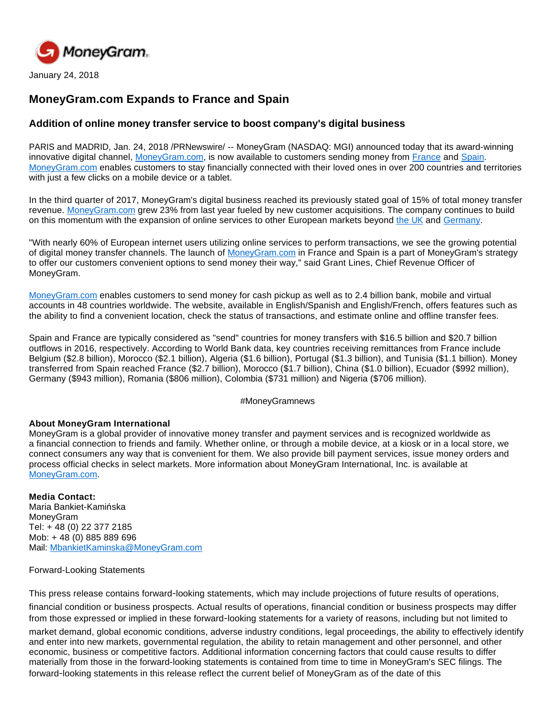

January 24, 2018

# **MoneyGram.com Expands to France and Spain**

## **Addition of online money transfer service to boost company's digital business**

PARIS and MADRID, Jan. 24, 2018 /PRNewswire/ -- MoneyGram (NASDAQ: MGI) announced today that its award-winning innovative digital channel, [MoneyGram.com,](http://moneygram.com/) is now available to customers sending money from [France](https://secure.moneygram.fr/) and [Spain](https://secure.moneygram.es/). [MoneyGram.com](http://moneygram.com/) enables customers to stay financially connected with their loved ones in over 200 countries and territories with just a few clicks on a mobile device or a tablet.

In the third quarter of 2017, MoneyGram's digital business reached its previously stated goal of 15% of total money transfer revenue. [MoneyGram.com](http://moneygram.com/) grew 23% from last year fueled by new customer acquisitions. The company continues to build on this momentum with the expansion of online services to other European markets beyond [the UK](https://secure.moneygram.co.uk/) and [Germany](https://secure.moneygram.de/).

"With nearly 60% of European internet users utilizing online services to perform transactions, we see the growing potential of digital money transfer channels. The launch of [MoneyGram.com](http://moneygram.com/) in France and Spain is a part of MoneyGram's strategy to offer our customers convenient options to send money their way," said Grant Lines, Chief Revenue Officer of MoneyGram.

[MoneyGram.com](http://moneygram.com/) enables customers to send money for cash pickup as well as to 2.4 billion bank, mobile and virtual accounts in 48 countries worldwide. The website, available in English/Spanish and English/French, offers features such as the ability to find a convenient location, check the status of transactions, and estimate online and offline transfer fees.

Spain and France are typically considered as "send" countries for money transfers with \$16.5 billion and \$20.7 billion outflows in 2016, respectively. According to World Bank data, key countries receiving remittances from France include Belgium (\$2.8 billion), Morocco (\$2.1 billion), Algeria (\$1.6 billion), Portugal (\$1.3 billion), and Tunisia (\$1.1 billion). Money transferred from Spain reached France (\$2.7 billion), Morocco (\$1.7 billion), China (\$1.0 billion), Ecuador (\$992 million), Germany (\$943 million), Romania (\$806 million), Colombia (\$731 million) and Nigeria (\$706 million).

### #MoneyGramnews

### **About MoneyGram International**

MoneyGram is a global provider of innovative money transfer and payment services and is recognized worldwide as a financial connection to friends and family. Whether online, or through a mobile device, at a kiosk or in a local store, we connect consumers any way that is convenient for them. We also provide bill payment services, issue money orders and process official checks in select markets. More information about MoneyGram International, Inc. is available at [MoneyGram.com](http://www.moneygram.com/).

**Media Contact:**  Maria Bankiet-Kamińska **MonevGram** Tel: + 48 (0) 22 377 2185 Mob: + 48 (0) 885 889 696 Mail: [MbankietKaminska@MoneyGram.com](mailto:MbankietKaminska@moneygram.com)

### Forward-Looking Statements

This press release contains forward-looking statements, which may include projections of future results of operations, financial condition or business prospects. Actual results of operations, financial condition or business prospects may differ from those expressed or implied in these forward-looking statements for a variety of reasons, including but not limited to

market demand, global economic conditions, adverse industry conditions, legal proceedings, the ability to effectively identify and enter into new markets, governmental regulation, the ability to retain management and other personnel, and other economic, business or competitive factors. Additional information concerning factors that could cause results to differ materially from those in the forward-looking statements is contained from time to time in MoneyGram's SEC filings. The forward-looking statements in this release reflect the current belief of MoneyGram as of the date of this